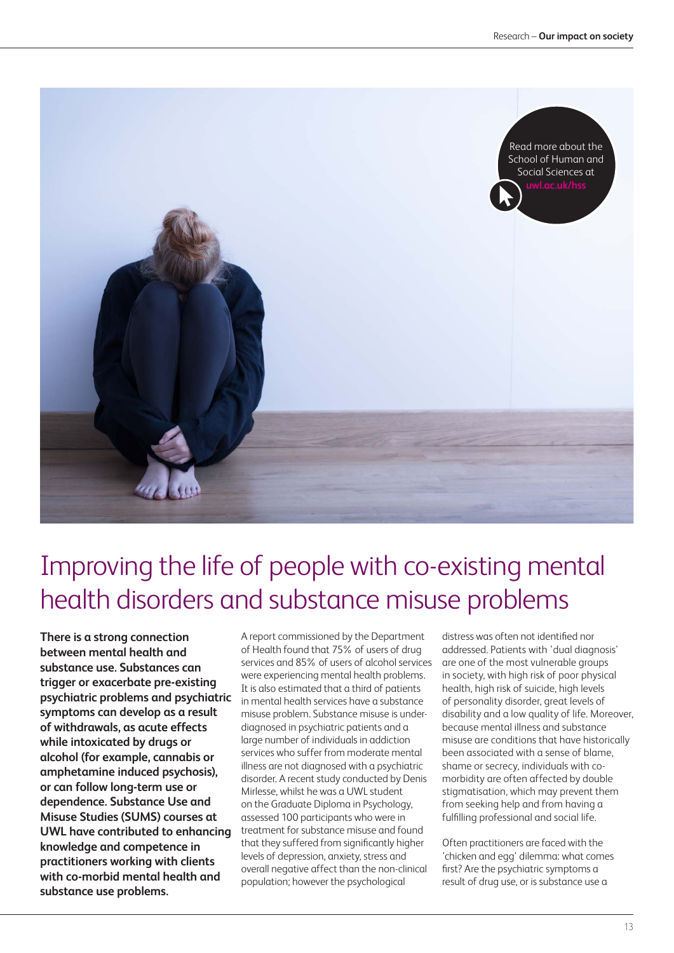

## Improving the life of people with co-existing mental health disorders and substance misuse problems

**There is a strong connection between mental health and substance use. Substances can trigger or exacerbate pre-existing psychiatric problems and psychiatric symptoms can develop as a result of withdrawals, as acute effects while intoxicated by drugs or alcohol (for example, cannabis or amphetamine induced psychosis), or can follow long-term use or dependence. Substance Use and Misuse Studies (SUMS) courses at UWL have contributed to enhancing knowledge and competence in practitioners working with clients with co-morbid mental health and substance use problems.**

A report commissioned by the Department of Health found that 75% of users of drug services and 85% of users of alcohol services were experiencing mental health problems. It is also estimated that a third of patients in mental health services have a substance misuse problem. Substance misuse is underdiagnosed in psychiatric patients and a large number of individuals in addiction services who suffer from moderate mental illness are not diagnosed with a psychiatric disorder. A recent study conducted by Denis Mirlesse, whilst he was a UWL student on the Graduate Diploma in Psychology, assessed 100 participants who were in treatment for substance misuse and found that they suffered from significantly higher levels of depression, anxiety, stress and overall negative affect than the non-clinical population; however the psychological

distress was often not identified nor addressed. Patients with 'dual diagnosis' are one of the most vulnerable groups in society, with high risk of poor physical health, high risk of suicide, high levels of personality disorder, great levels of disability and a low quality of life. Moreover, because mental illness and substance misuse are conditions that have historically been associated with a sense of blame, shame or secrecy, individuals with comorbidity are often affected by double stigmatisation, which may prevent them from seeking help and from having a fulfilling professional and social life.

Often practitioners are faced with the 'chicken and egg' dilemma: what comes first? Are the psychiatric symptoms a result of drug use, or is substance use a